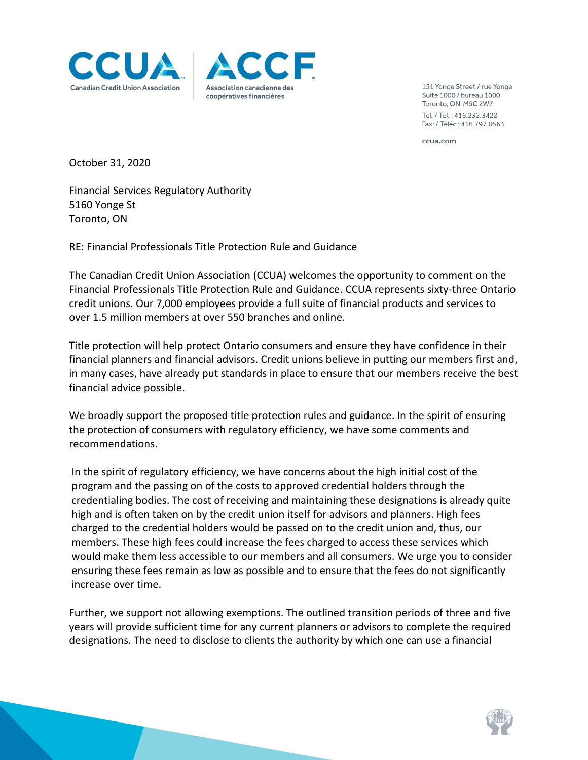



151 Yonge Street / rue Yonge Suite 1000 / bureau 1000 Toronto, ON M5C 2W7 Tel: / Tél.: 416.232.3422 Fax: / Téléc: 416.797.0563

ccua.com

October 31, 2020

Financial Services Regulatory Authority 5160 Yonge St Toronto, ON

RE: Financial Professionals Title Protection Rule and Guidance

The Canadian Credit Union Association (CCUA) welcomes the opportunity to comment on the Financial Professionals Title Protection Rule and Guidance. CCUA represents sixty-three Ontario credit unions. Our 7,000 employees provide a full suite of financial products and services to over 1.5 million members at over 550 branches and online.

Title protection will help protect Ontario consumers and ensure they have confidence in their financial planners and financial advisors. Credit unions believe in putting our members first and, in many cases, have already put standards in place to ensure that our members receive the best financial advice possible.

We broadly support the proposed title protection rules and guidance. In the spirit of ensuring the protection of consumers with regulatory efficiency, we have some comments and recommendations.

In the spirit of regulatory efficiency, we have concerns about the high initial cost of the program and the passing on of the costs to approved credential holders through the credentialing bodies. The cost of receiving and maintaining these designations is already quite high and is often taken on by the credit union itself for advisors and planners. High fees charged to the credential holders would be passed on to the credit union and, thus, our members. These high fees could increase the fees charged to access these services which would make them less accessible to our members and all consumers. We urge you to consider ensuring these fees remain as low as possible and to ensure that the fees do not significantly increase over time.

Further, we support not allowing exemptions. The outlined transition periods of three and five years will provide sufficient time for any current planners or advisors to complete the required designations. The need to disclose to clients the authority by which one can use a financial